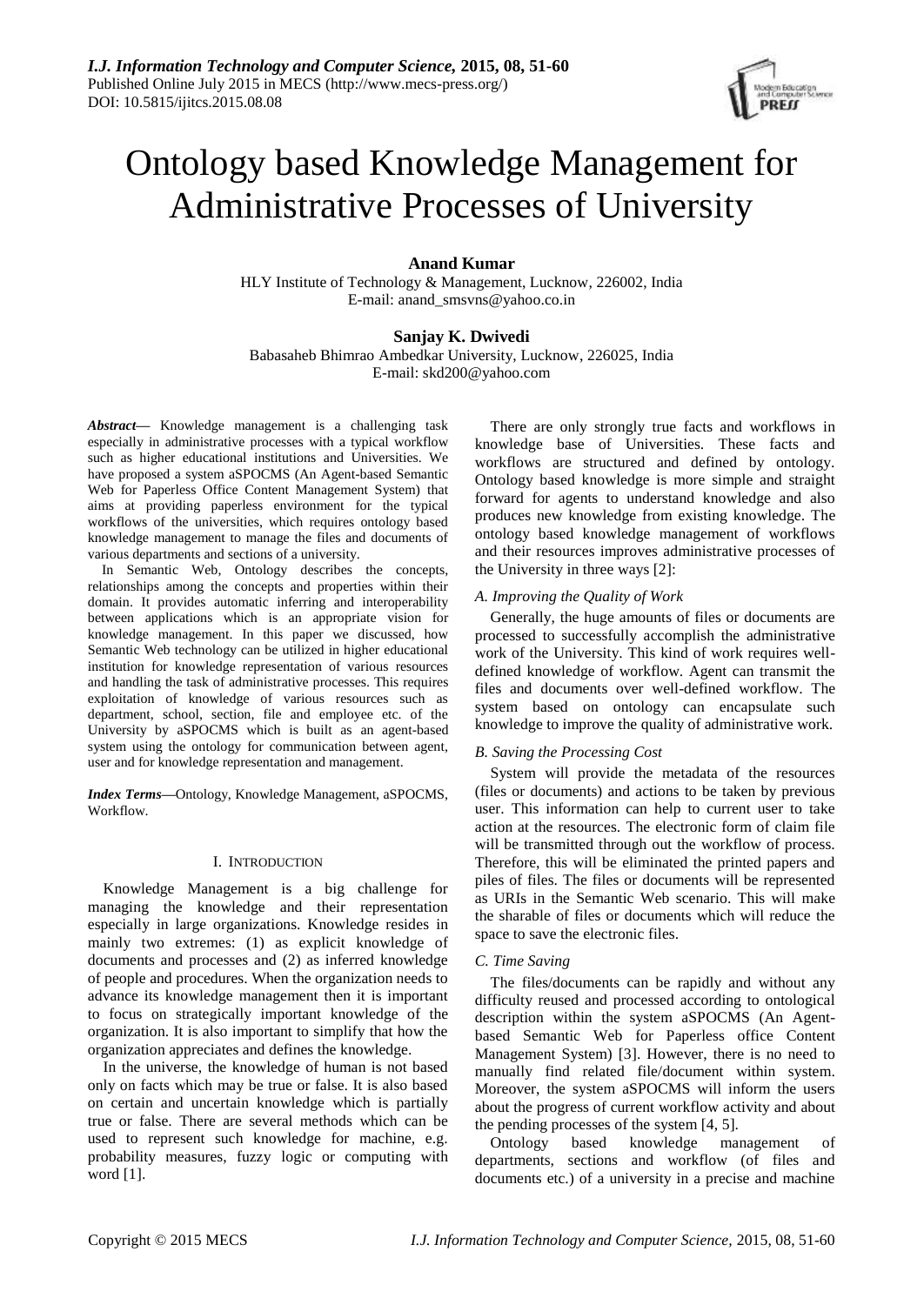

# Ontology based Knowledge Management for Administrative Processes of University

# **Anand Kumar**

HLY Institute of Technology & Management, Lucknow, 226002, India E-mail: anand\_smsvns@yahoo.co.in

# **Sanjay K. Dwivedi**

Babasaheb Bhimrao Ambedkar University, Lucknow, 226025, India E-mail: skd200@yahoo.com

*Abstract***—** Knowledge management is a challenging task especially in administrative processes with a typical workflow such as higher educational institutions and Universities. We have proposed a system aSPOCMS (An Agent-based Semantic Web for Paperless Office Content Management System) that aims at providing paperless environment for the typical workflows of the universities, which requires ontology based knowledge management to manage the files and documents of various departments and sections of a university.

In Semantic Web, Ontology describes the concepts, relationships among the concepts and properties within their domain. It provides automatic inferring and interoperability between applications which is an appropriate vision for knowledge management. In this paper we discussed, how Semantic Web technology can be utilized in higher educational institution for knowledge representation of various resources and handling the task of administrative processes. This requires exploitation of knowledge of various resources such as department, school, section, file and employee etc. of the University by aSPOCMS which is built as an agent-based system using the ontology for communication between agent, user and for knowledge representation and management.

*Index Terms***—**Ontology, Knowledge Management, aSPOCMS, Workflow.

## I. INTRODUCTION

Knowledge Management is a big challenge for managing the knowledge and their representation especially in large organizations. Knowledge resides in mainly two extremes: (1) as explicit knowledge of documents and processes and (2) as inferred knowledge of people and procedures. When the organization needs to advance its knowledge management then it is important to focus on strategically important knowledge of the organization. It is also important to simplify that how the organization appreciates and defines the knowledge.

In the universe, the knowledge of human is not based only on facts which may be true or false. It is also based on certain and uncertain knowledge which is partially true or false. There are several methods which can be used to represent such knowledge for machine, e.g. probability measures, fuzzy logic or computing with word [1].

There are only strongly true facts and workflows in knowledge base of Universities. These facts and workflows are structured and defined by ontology. Ontology based knowledge is more simple and straight forward for agents to understand knowledge and also produces new knowledge from existing knowledge. The ontology based knowledge management of workflows and their resources improves administrative processes of the University in three ways [2]:

## *A. Improving the Quality of Work*

Generally, the huge amounts of files or documents are processed to successfully accomplish the administrative work of the University. This kind of work requires welldefined knowledge of workflow. Agent can transmit the files and documents over well-defined workflow. The system based on ontology can encapsulate such knowledge to improve the quality of administrative work.

## *B. Saving the Processing Cost*

System will provide the metadata of the resources (files or documents) and actions to be taken by previous user. This information can help to current user to take action at the resources. The electronic form of claim file will be transmitted through out the workflow of process. Therefore, this will be eliminated the printed papers and piles of files. The files or documents will be represented as URIs in the Semantic Web scenario. This will make the sharable of files or documents which will reduce the space to save the electronic files.

## *C. Time Saving*

The files/documents can be rapidly and without any difficulty reused and processed according to ontological description within the system aSPOCMS (An Agentbased Semantic Web for Paperless office Content Management System) [3]. However, there is no need to manually find related file/document within system. Moreover, the system aSPOCMS will inform the users about the progress of current workflow activity and about the pending processes of the system [4, 5].

Ontology based knowledge management of departments, sections and workflow (of files and documents etc.) of a university in a precise and machine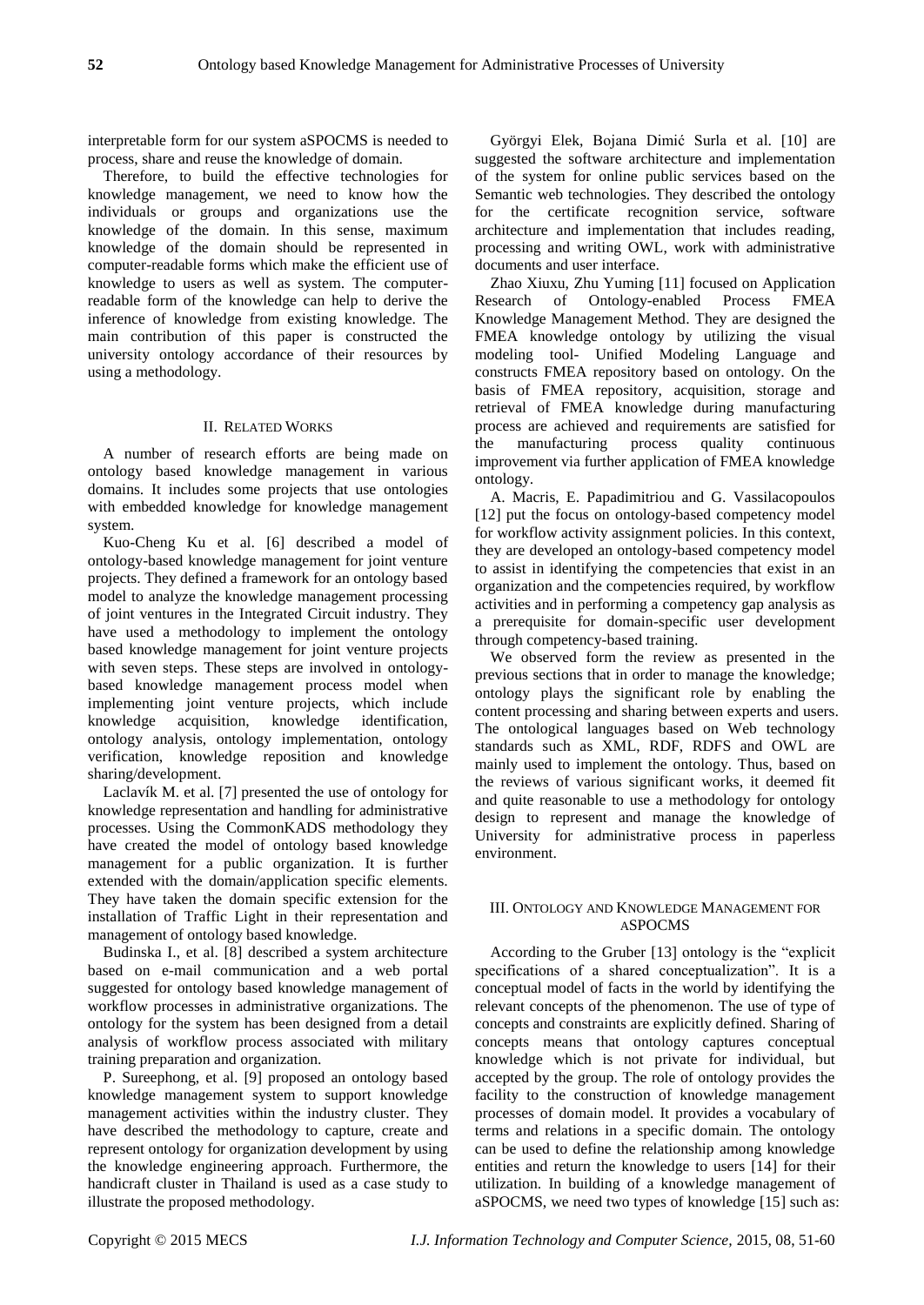interpretable form for our system aSPOCMS is needed to process, share and reuse the knowledge of domain.

Therefore, to build the effective technologies for knowledge management, we need to know how the individuals or groups and organizations use the knowledge of the domain. In this sense, maximum knowledge of the domain should be represented in computer-readable forms which make the efficient use of knowledge to users as well as system. The computerreadable form of the knowledge can help to derive the inference of knowledge from existing knowledge. The main contribution of this paper is constructed the university ontology accordance of their resources by using a methodology.

## II. RELATED WORKS

A number of research efforts are being made on ontology based knowledge management in various domains. It includes some projects that use ontologies with embedded knowledge for knowledge management system.

Kuo-Cheng Ku et al. [6] described a model of ontology-based knowledge management for joint venture projects. They defined a framework for an ontology based model to analyze the knowledge management processing of joint ventures in the Integrated Circuit industry. They have used a methodology to implement the ontology based knowledge management for joint venture projects with seven steps. These steps are involved in ontologybased knowledge management process model when implementing joint venture projects, which include knowledge acquisition, knowledge identification, ontology analysis, ontology implementation, ontology verification, knowledge reposition and knowledge sharing/development.

Laclav  $k$  M. et al. [7] presented the use of ontology for knowledge representation and handling for administrative processes. Using the CommonKADS methodology they have created the model of ontology based knowledge management for a public organization. It is further extended with the domain/application specific elements. They have taken the domain specific extension for the installation of Traffic Light in their representation and management of ontology based knowledge.

Budinska I., et al. [8] described a system architecture based on e-mail communication and a web portal suggested for ontology based knowledge management of workflow processes in administrative organizations. The ontology for the system has been designed from a detail analysis of workflow process associated with military training preparation and organization.

P. Sureephong, et al. [9] proposed an ontology based knowledge management system to support knowledge management activities within the industry cluster. They have described the methodology to capture, create and represent ontology for organization development by using the knowledge engineering approach. Furthermore, the handicraft cluster in Thailand is used as a case study to illustrate the proposed methodology.

Györgyi Elek, Bojana Dimić Surla et al. [10] are suggested the software architecture and implementation of the system for online public services based on the Semantic web technologies. They described the ontology for the certificate recognition service, software architecture and implementation that includes reading, processing and writing OWL, work with administrative documents and user interface.

Zhao Xiuxu, Zhu Yuming [11] focused on Application Research of Ontology-enabled Process FMEA Knowledge Management Method. They are designed the FMEA knowledge ontology by utilizing the visual modeling tool- Unified Modeling Language and constructs FMEA repository based on ontology. On the basis of FMEA repository, acquisition, storage and retrieval of FMEA knowledge during manufacturing process are achieved and requirements are satisfied for the manufacturing process quality continuous improvement via further application of FMEA knowledge ontology.

A. Macris, E. Papadimitriou and G. Vassilacopoulos [12] put the focus on ontology-based competency model for workflow activity assignment policies. In this context, they are developed an ontology-based competency model to assist in identifying the competencies that exist in an organization and the competencies required, by workflow activities and in performing a competency gap analysis as a prerequisite for domain-specific user development through competency-based training.

We observed form the review as presented in the previous sections that in order to manage the knowledge; ontology plays the significant role by enabling the content processing and sharing between experts and users. The ontological languages based on Web technology standards such as XML, RDF, RDFS and OWL are mainly used to implement the ontology. Thus, based on the reviews of various significant works, it deemed fit and quite reasonable to use a methodology for ontology design to represent and manage the knowledge of University for administrative process in paperless environment.

# III. ONTOLOGY AND KNOWLEDGE MANAGEMENT FOR ASPOCMS

According to the Gruber [13] ontology is the "explicit specifications of a shared conceptualization". It is a conceptual model of facts in the world by identifying the relevant concepts of the phenomenon. The use of type of concepts and constraints are explicitly defined. Sharing of concepts means that ontology captures conceptual knowledge which is not private for individual, but accepted by the group. The role of ontology provides the facility to the construction of knowledge management processes of domain model. It provides a vocabulary of terms and relations in a specific domain. The ontology can be used to define the relationship among knowledge entities and return the knowledge to users [14] for their utilization. In building of a knowledge management of aSPOCMS, we need two types of knowledge [15] such as: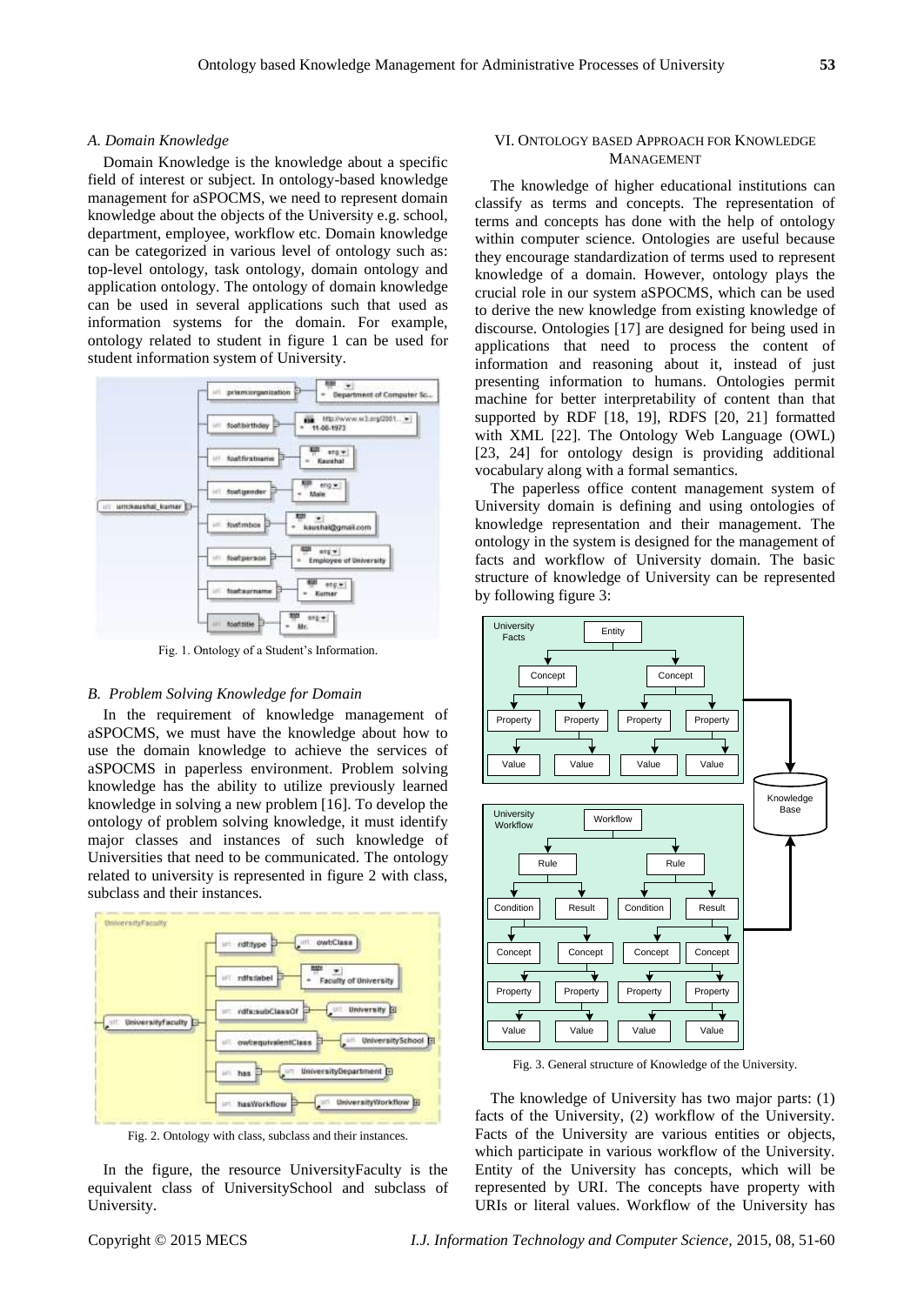#### *A. Domain Knowledge*

Domain Knowledge is the knowledge about a specific field of interest or subject. In ontology-based knowledge management for aSPOCMS, we need to represent domain knowledge about the objects of the University e.g. school, department, employee, workflow etc. Domain knowledge can be categorized in various level of ontology such as: top-level ontology, task ontology, domain ontology and application ontology. The ontology of domain knowledge can be used in several applications such that used as information systems for the domain. For example, ontology related to student in figure 1 can be used for student information system of University.



Fig. 1. Ontology of a Student's Information.

#### *B. Problem Solving Knowledge for Domain*

In the requirement of knowledge management of aSPOCMS, we must have the knowledge about how to use the domain knowledge to achieve the services of aSPOCMS in paperless environment. Problem solving knowledge has the ability to utilize previously learned knowledge in solving a new problem [16]. To develop the ontology of problem solving knowledge, it must identify major classes and instances of such knowledge of Universities that need to be communicated. The ontology related to university is represented in figure 2 with class, subclass and their instances.



Fig. 2. Ontology with class, subclass and their instances.

In the figure, the resource UniversityFaculty is the equivalent class of UniversitySchool and subclass of University.

## VI. ONTOLOGY BASED APPROACH FOR KNOWLEDGE **MANAGEMENT**

The knowledge of higher educational institutions can classify as terms and concepts. The representation of terms and concepts has done with the help of ontology within computer science. Ontologies are useful because they encourage standardization of terms used to represent knowledge of a domain. However, ontology plays the crucial role in our system aSPOCMS, which can be used to derive the new knowledge from existing knowledge of discourse. Ontologies [17] are designed for being used in applications that need to process the content of information and reasoning about it, instead of just presenting information to humans. Ontologies permit machine for better interpretability of content than that supported by RDF [18, 19], RDFS [20, 21] formatted with XML [22]. The Ontology Web Language (OWL) [23, 24] for ontology design is providing additional vocabulary along with a formal semantics.

The paperless office content management system of University domain is defining and using ontologies of knowledge representation and their management. The ontology in the system is designed for the management of facts and workflow of University domain. The basic structure of knowledge of University can be represented by following figure 3:



Fig. 3. General structure of Knowledge of the University.

The knowledge of University has two major parts: (1) facts of the University, (2) workflow of the University. Facts of the University are various entities or objects, which participate in various workflow of the University. Entity of the University has concepts, which will be represented by URI. The concepts have property with URIs or literal values. Workflow of the University has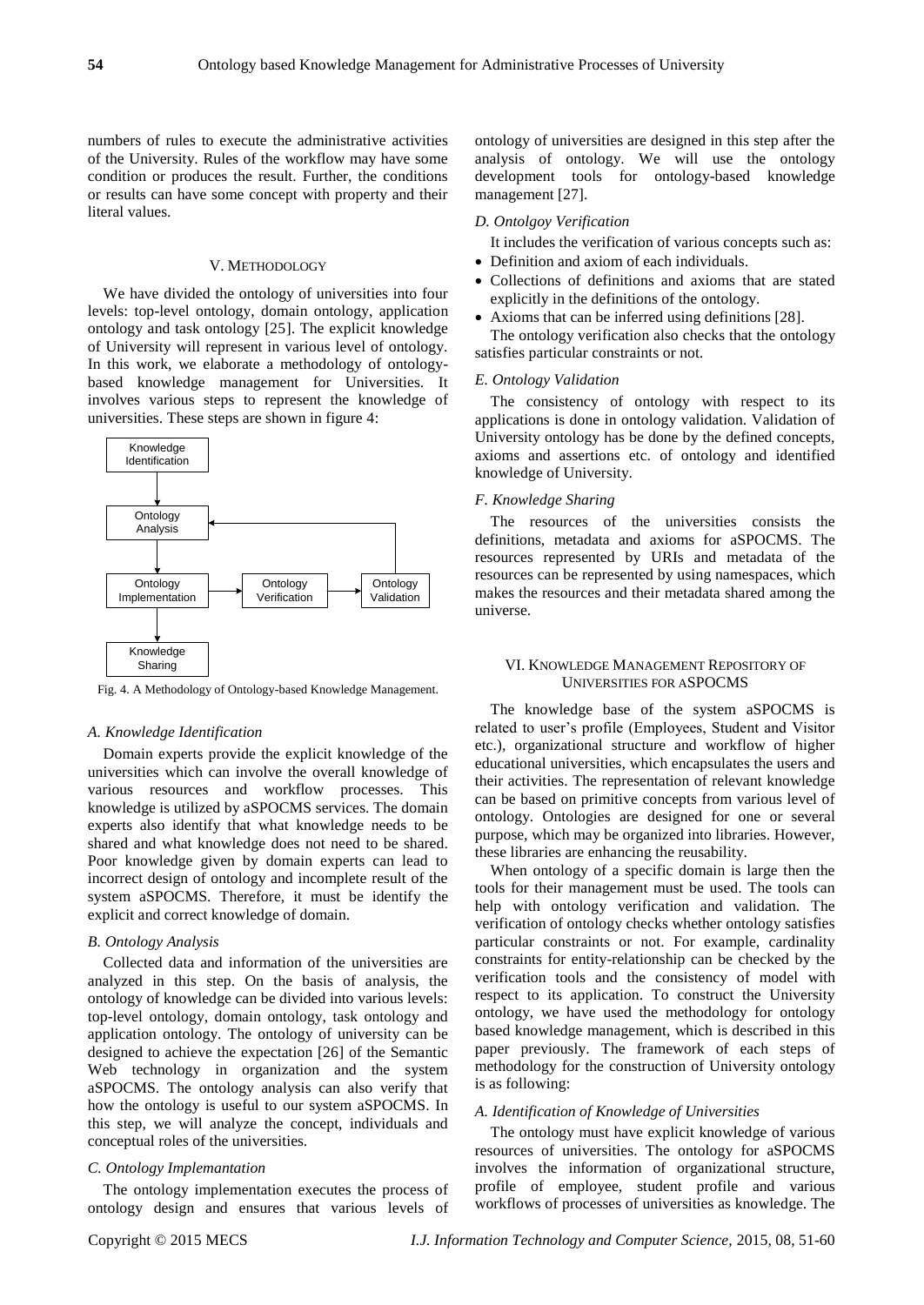numbers of rules to execute the administrative activities of the University. Rules of the workflow may have some condition or produces the result. Further, the conditions or results can have some concept with property and their literal values.

#### V. METHODOLOGY

We have divided the ontology of universities into four levels: top-level ontology, domain ontology, application ontology and task ontology [25]. The explicit knowledge of University will represent in various level of ontology. In this work, we elaborate a methodology of ontologybased knowledge management for Universities. It involves various steps to represent the knowledge of universities. These steps are shown in figure 4:



Fig. 4. A Methodology of Ontology-based Knowledge Management.

#### *A. Knowledge Identification*

Domain experts provide the explicit knowledge of the universities which can involve the overall knowledge of various resources and workflow processes. This knowledge is utilized by aSPOCMS services. The domain experts also identify that what knowledge needs to be shared and what knowledge does not need to be shared. Poor knowledge given by domain experts can lead to incorrect design of ontology and incomplete result of the system aSPOCMS. Therefore, it must be identify the explicit and correct knowledge of domain.

#### *B. Ontology Analysis*

Collected data and information of the universities are analyzed in this step. On the basis of analysis, the ontology of knowledge can be divided into various levels: top-level ontology, domain ontology, task ontology and application ontology. The ontology of university can be designed to achieve the expectation [26] of the Semantic Web technology in organization and the system aSPOCMS. The ontology analysis can also verify that how the ontology is useful to our system aSPOCMS. In this step, we will analyze the concept, individuals and conceptual roles of the universities.

## *C. Ontology Implemantation*

The ontology implementation executes the process of ontology design and ensures that various levels of ontology of universities are designed in this step after the analysis of ontology. We will use the ontology development tools for ontology-based knowledge management [27].

#### *D. Ontolgoy Verification*

It includes the verification of various concepts such as:

- Definition and axiom of each individuals.
- Collections of definitions and axioms that are stated explicitly in the definitions of the ontology.
- Axioms that can be inferred using definitions [28].

The ontology verification also checks that the ontology satisfies particular constraints or not.

#### *E. Ontology Validation*

The consistency of ontology with respect to its applications is done in ontology validation. Validation of University ontology has be done by the defined concepts, axioms and assertions etc. of ontology and identified knowledge of University.

#### *F. Knowledge Sharing*

The resources of the universities consists the definitions, metadata and axioms for aSPOCMS. The resources represented by URIs and metadata of the resources can be represented by using namespaces, which makes the resources and their metadata shared among the universe.

# VI. KNOWLEDGE MANAGEMENT REPOSITORY OF UNIVERSITIES FOR ASPOCMS

The knowledge base of the system aSPOCMS is related to user's profile (Employees, Student and Visitor etc.), organizational structure and workflow of higher educational universities, which encapsulates the users and their activities. The representation of relevant knowledge can be based on primitive concepts from various level of ontology. Ontologies are designed for one or several purpose, which may be organized into libraries. However, these libraries are enhancing the reusability.

When ontology of a specific domain is large then the tools for their management must be used. The tools can help with ontology verification and validation. The verification of ontology checks whether ontology satisfies particular constraints or not. For example, cardinality constraints for entity-relationship can be checked by the verification tools and the consistency of model with respect to its application. To construct the University ontology, we have used the methodology for ontology based knowledge management, which is described in this paper previously. The framework of each steps of methodology for the construction of University ontology is as following:

## *A. Identification of Knowledge of Universities*

The ontology must have explicit knowledge of various resources of universities. The ontology for aSPOCMS involves the information of organizational structure, profile of employee, student profile and various workflows of processes of universities as knowledge. The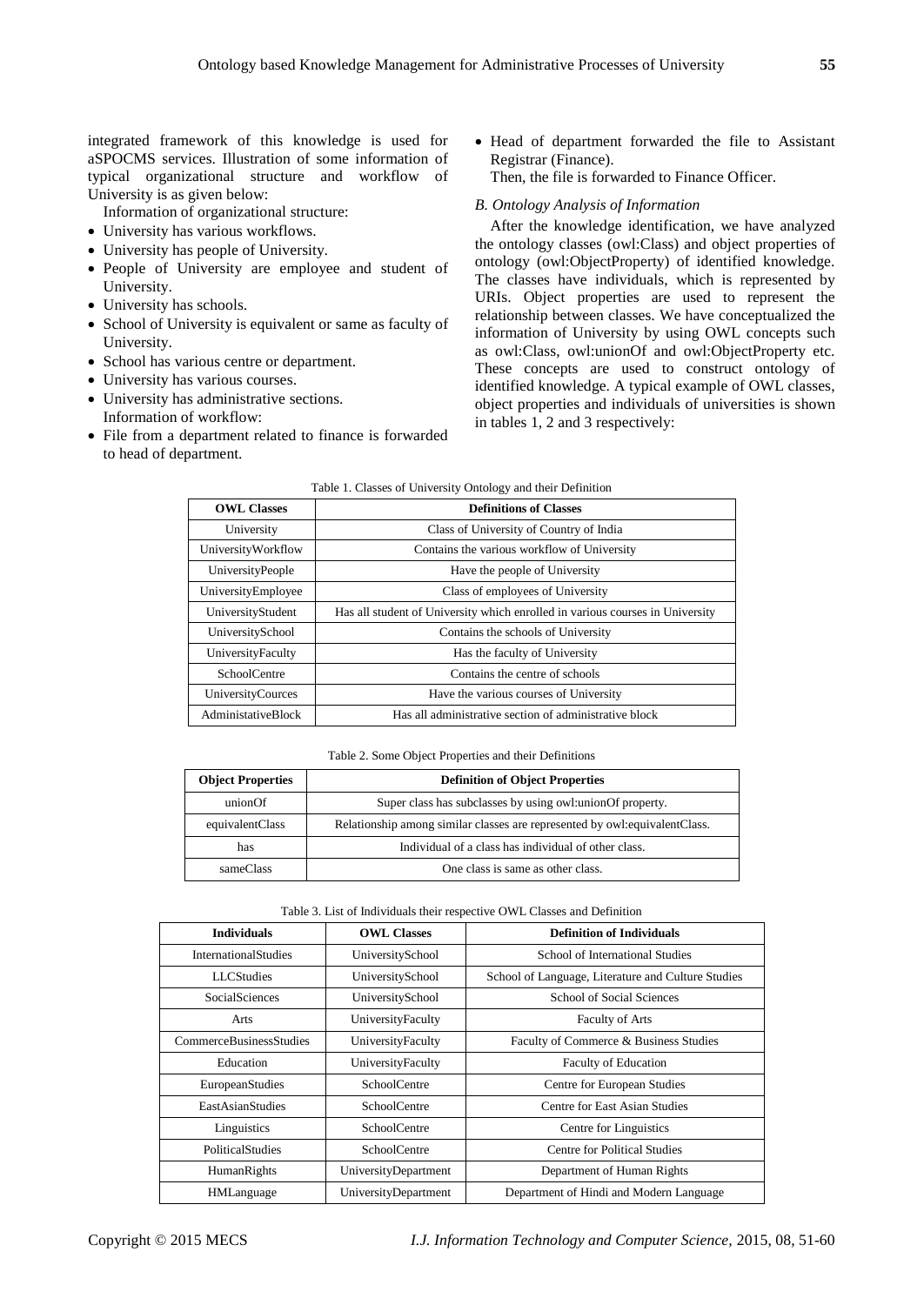integrated framework of this knowledge is used for aSPOCMS services. Illustration of some information of typical organizational structure and workflow of University is as given below:

Information of organizational structure:

- University has various workflows.
- University has people of University.
- People of University are employee and student of University.
- University has schools.
- School of University is equivalent or same as faculty of University.
- School has various centre or department.
- University has various courses.
- University has administrative sections. Information of workflow:
- File from a department related to finance is forwarded to head of department.

 Head of department forwarded the file to Assistant Registrar (Finance).

Then, the file is forwarded to Finance Officer.

## *B. Ontology Analysis of Information*

After the knowledge identification, we have analyzed the ontology classes (owl:Class) and object properties of ontology (owl:ObjectProperty) of identified knowledge. The classes have individuals, which is represented by URIs. Object properties are used to represent the relationship between classes. We have conceptualized the information of University by using OWL concepts such as owl:Class, owl:unionOf and owl:ObjectProperty etc. These concepts are used to construct ontology of identified knowledge. A typical example of OWL classes, object properties and individuals of universities is shown in tables 1, 2 and 3 respectively:

| <b>OWL Classes</b>  | <b>Definitions of Classes</b>                                                 |  |
|---------------------|-------------------------------------------------------------------------------|--|
| University          | Class of University of Country of India                                       |  |
| UniversityWorkflow  | Contains the various workflow of University                                   |  |
| UniversityPeople    | Have the people of University                                                 |  |
| UniversityEmployee  | Class of employees of University                                              |  |
| UniversityStudent   | Has all student of University which enrolled in various courses in University |  |
| UniversitySchool    | Contains the schools of University                                            |  |
| UniversityFaculty   | Has the faculty of University                                                 |  |
| <b>SchoolCentre</b> | Contains the centre of schools                                                |  |
| UniversityCources   | Have the various courses of University                                        |  |
| AdministativeBlock  | Has all administrative section of administrative block                        |  |

# Table 1. Classes of University Ontology and their Definition

#### Table 2. Some Object Properties and their Definitions

| <b>Object Properties</b> | <b>Definition of Object Properties</b>                                       |
|--------------------------|------------------------------------------------------------------------------|
| unionOf                  | Super class has subclasses by using owl: union Of property.                  |
| equivalentClass          | Relationship among similar classes are represented by owl: equivalent Class. |
| has                      | Individual of a class has individual of other class.                         |
| sameClass                | One class is same as other class.                                            |

#### Table 3. List of Individuals their respective OWL Classes and Definition

| <b>Individuals</b>             | <b>OWL Classes</b>   | <b>Definition of Individuals</b>                   |
|--------------------------------|----------------------|----------------------------------------------------|
| <b>InternationalStudies</b>    | UniversitySchool     | School of International Studies                    |
| LLCStudies                     | UniversitySchool     | School of Language, Literature and Culture Studies |
| <b>SocialSciences</b>          | UniversitySchool     | School of Social Sciences                          |
| Arts                           | UniversityFaculty    | <b>Faculty of Arts</b>                             |
| <b>CommerceBusinessStudies</b> | UniversityFaculty    | Faculty of Commerce & Business Studies             |
| Education                      | UniversityFaculty    | <b>Faculty of Education</b>                        |
| EuropeanStudies                | <b>SchoolCentre</b>  | Centre for European Studies                        |
| <b>EastAsianStudies</b>        | <b>SchoolCentre</b>  | Centre for East Asian Studies                      |
| Linguistics                    | <b>SchoolCentre</b>  | Centre for Linguistics                             |
| <b>PoliticalStudies</b>        | <b>SchoolCentre</b>  | Centre for Political Studies                       |
| HumanRights                    | UniversityDepartment | Department of Human Rights                         |
| <b>HMLanguage</b>              | UniversityDepartment | Department of Hindi and Modern Language            |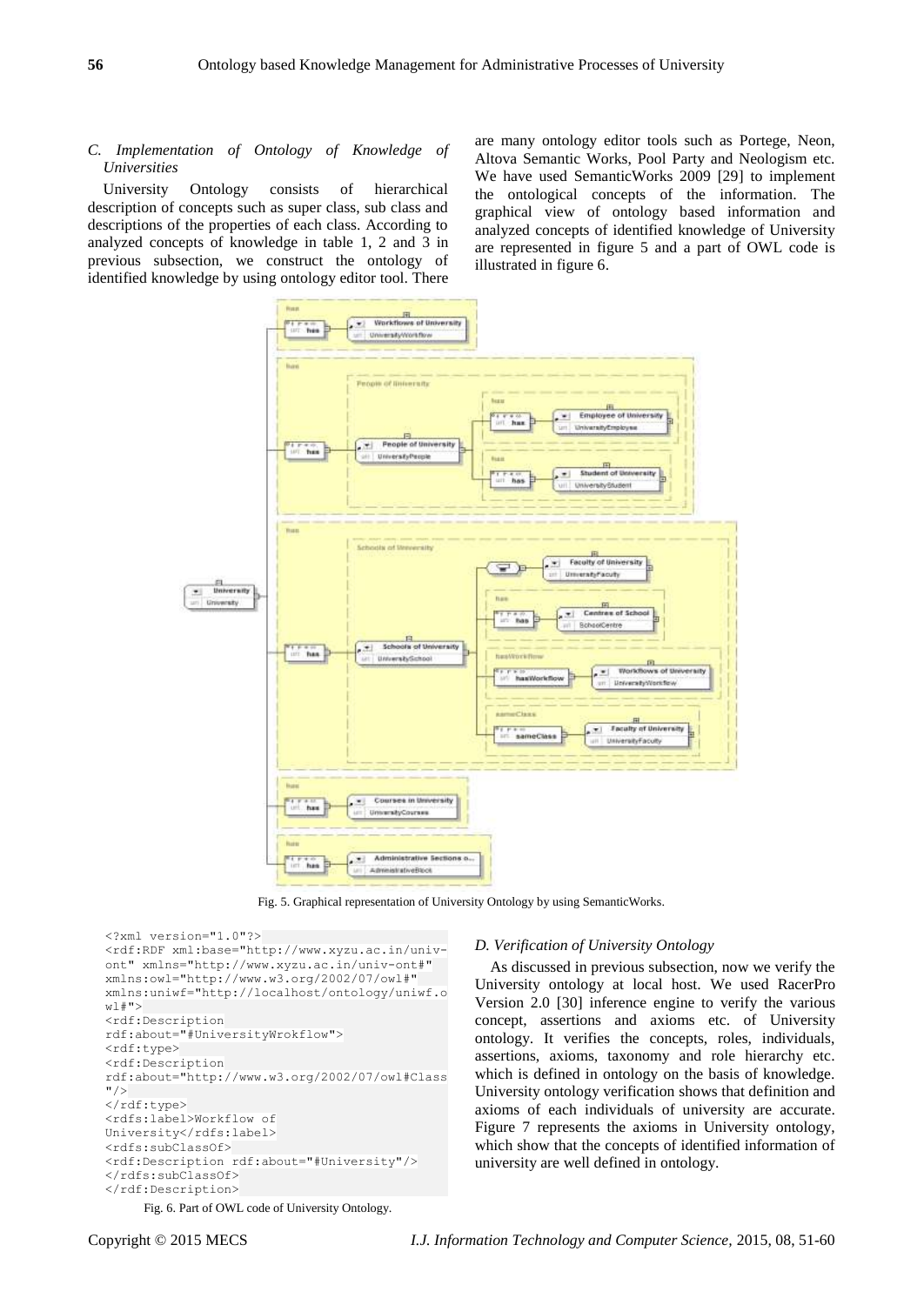# *C. Implementation of Ontology of Knowledge of Universities*

University Ontology consists of hierarchical description of concepts such as super class, sub class and descriptions of the properties of each class. According to analyzed concepts of knowledge in table 1, 2 and 3 in previous subsection, we construct the ontology of identified knowledge by using ontology editor tool. There

are many ontology editor tools such as Portege, Neon, Altova Semantic Works, Pool Party and Neologism etc. We have used SemanticWorks 2009 [29] to implement the ontological concepts of the information. The graphical view of ontology based information and analyzed concepts of identified knowledge of University are represented in figure 5 and a part of OWL code is illustrated in figure 6.



Fig. 5. Graphical representation of University Ontology by using SemanticWorks.



## *D. Verification of University Ontology*

As discussed in previous subsection, now we verify the University ontology at local host. We used RacerPro Version 2.0 [30] inference engine to verify the various concept, assertions and axioms etc. of University ontology. It verifies the concepts, roles, individuals, assertions, axioms, taxonomy and role hierarchy etc. which is defined in ontology on the basis of knowledge. University ontology verification shows that definition and axioms of each individuals of university are accurate. Figure 7 represents the axioms in University ontology, which show that the concepts of identified information of university are well defined in ontology.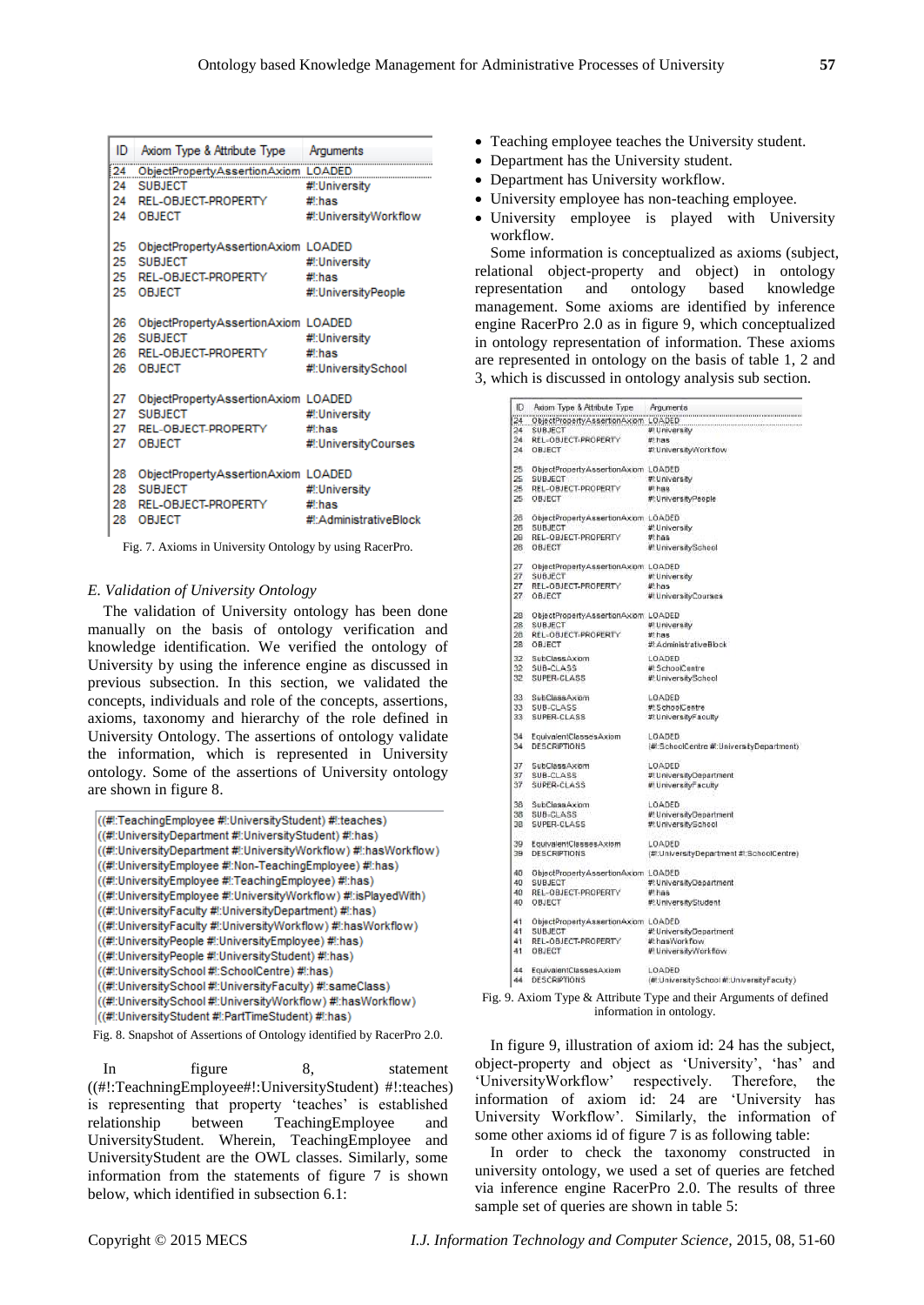| ID  | Axiom Type & Attribute Type         | Arguments<br>          |
|-----|-------------------------------------|------------------------|
| 24  | ObjectPropertyAssertionAxiom LOADED |                        |
| 24. | <b>SUBJECT</b>                      | #!:University          |
| 24  | REL-OBJECT-PROPERTY                 | #l'has                 |
| 24  | <b>OBJECT</b>                       | #!:UniversityWorkflow  |
| 25  | ObjectPropertyAssertionAxiom LOADED |                        |
| 25. | <b>SUBJECT</b>                      | #!:University          |
| 25. | REL-OBJECT-PROPERTY                 | #I:has                 |
| 25  | <b>OBJECT</b>                       | #!:UniversityPeople    |
| 26  | ObjectPropertyAssertionAxiom LOADED |                        |
| 26  | <b>SUBJECT</b>                      | #!:University          |
| 26. | REL-OBJECT-PROPERTY                 | #l'has                 |
| 26  | <b>OBJECT</b>                       | #!:UniversitySchool    |
| 27  | ObjectPropertyAssertionAxiom LOADED |                        |
| 27  | <b>SUBJECT</b>                      | #!:Universitv          |
| 27  | REL-OBJECT-PROPERTY                 | #l'has                 |
| 27  | <b>OBJECT</b>                       | #!:UniversityCourses   |
| 28  | ObjectPropertyAssertionAxiom LOADED |                        |
| 28. | <b>SUBJECT</b>                      | #!:University          |
| 28  | REL-OBJECT-PROPERTY                 | #l·has                 |
| 28  | <b>OBJECT</b>                       | #!:AdministrativeBlock |

Fig. 7. Axioms in University Ontology by using RacerPro.

## *E. Validation of University Ontology*

The validation of University ontology has been done manually on the basis of ontology verification and knowledge identification. We verified the ontology of University by using the inference engine as discussed in previous subsection. In this section, we validated the concepts, individuals and role of the concepts, assertions, axioms, taxonomy and hierarchy of the role defined in University Ontology. The assertions of ontology validate the information, which is represented in University ontology. Some of the assertions of University ontology are shown in figure 8.



- 
- ((#!:UniversitySchool #!:UniversityFaculty) #!:sameClass) ((#!:UniversitySchool #!:UniversityWorkflow) #!:hasWorkflow)

((#):UniversityStudent #):PartTimeStudent) #):has)

Fig. 8. Snapshot of Assertions of Ontology identified by RacerPro 2.0.

In figure 8, statement ((#!:TeachningEmployee#!:UniversityStudent) #!:teaches) is representing that property 'teaches' is established relationship between TeachingEmployee and UniversityStudent. Wherein, TeachingEmployee and UniversityStudent are the OWL classes. Similarly, some information from the statements of figure 7 is shown below, which identified in subsection 6.1:

- Teaching employee teaches the University student.
- Department has the University student.
- Department has University workflow.
- University employee has non-teaching employee.
- University employee is played with University workflow.

Some information is conceptualized as axioms (subject, relational object-property and object) in ontology representation and ontology based knowledge management. Some axioms are identified by inference engine RacerPro 2.0 as in figure 9, which conceptualized in ontology representation of information. These axioms are represented in ontology on the basis of table 1, 2 and 3, which is discussed in ontology analysis sub section.

| ID              | Axiom Type & Attribute Type         | Arguments                                                                     |
|-----------------|-------------------------------------|-------------------------------------------------------------------------------|
| 24              |                                     | ObjectPropertyAssertionAxiom LOADED<br>monononononononononononononononononono |
| 24              | SUBJECT                             | # University                                                                  |
| 24              | REL-OBJECT-PROPERTY                 | #thas                                                                         |
| 24              | OBJECT                              | #:UniversityWorkflow                                                          |
| 25              | ObjectPropertyAssertionAxiom LOADED |                                                                               |
| 25              | <b>SUBJECT</b>                      | #:University                                                                  |
| 25              | REL-OBJECT-PROPERTY                 | #thas                                                                         |
| 26 <sub>1</sub> | OBJECT                              | #:UniversityPeople                                                            |
| 26              | ObjectPropertyAssertionAxiom LOADED |                                                                               |
| 26              | <b>SUBJECT</b>                      | #!:University                                                                 |
| 26              | REL-OBJECT-PROPERTY                 | $#$ :has                                                                      |
| $28^{\circ}$    | OBJECT                              | # UniversitySchool                                                            |
| 27              | ObjectPropertyAssertionAxiom LOADED |                                                                               |
| 27              | SUBJECT                             | #:University                                                                  |
| 27              | REL-OBJECT-PROPERTY                 | #thas                                                                         |
|                 |                                     |                                                                               |
| 27              | OBJECT                              | # University Courses                                                          |
| 28              | ObjectPropertyAssertionAxiom LOADED |                                                                               |
| 28              | SUBJECT                             | # University                                                                  |
| 28              | REL-OBJECT-PROPERTY                 | $#:$ has                                                                      |
| 28              | OBJECT                              | #:AdministrativeBlock                                                         |
| 32              | SubClassAxiom                       | LOADED                                                                        |
| 32 <sub>1</sub> | SUB-CLASS                           | #I:SchoolCentre                                                               |
| $32 -$          | SUPER-CLASS                         | # UniversitySchool                                                            |
| 33              | SubClassAxiom                       | LOADED                                                                        |
| 33              | SUB-CLASS                           | #:SchoolCentre                                                                |
| 33              | SUPER-CLASS                         | #:UniversityFaculty                                                           |
| 34.             | EquivalentClassesAxiom              | LOADED                                                                        |
| 34              | <b>DESCRIPTIONS</b>                 | (# SchoolCentre # UniversityDepartment)                                       |
| 37              | <b>SubClassAxiom</b>                | LOADED                                                                        |
| 37              | SUB-CLASS                           | #:UniversityDepartment                                                        |
| 37              | SUPER-CLASS                         | <b><i>M</i></b> UniversityFaculty                                             |
| 38              | SubClassAxiom                       | LOADED                                                                        |
| 38              | SUB-CLASS                           | #:UniversityDepartment                                                        |
| 38              | SUPER-CLASS                         | #:UniversitySchool                                                            |
| 39              | EquivalentClassesAxiom              | LOADED                                                                        |
| 39              | <b>DESCRIPTIONS</b>                 | (#:UniversityDepartment #:SchoolCentre)                                       |
| 40              | ObjectPropertyAssertionAxiom LOADED |                                                                               |
| 40              | <b>SUBJECT</b>                      | #:UniversityDepartment                                                        |
| 40              | REL-OBJECT-PROPERTY                 | # has                                                                         |
| 40              | OBJECT                              | #:UniversityStudent                                                           |
| 41              | ObjectPropertyAssertionAxiom LOADED |                                                                               |
| 41              | SUBJECT                             | #:UniversityDepartment                                                        |
| 41              | REL-OBJECT-PROPERTY                 |                                                                               |
| 41              | OBJECT                              | #EhasWorkflow<br># UniversityWorkflow                                         |
|                 |                                     |                                                                               |
| 44              | EquivalentClassesAxiom              | LOADED                                                                        |
| 44              | DESCRIPTIONS                        | (# UniversitySchool # UniversityFaculty)                                      |



In figure 9, illustration of axiom id: 24 has the subject, object-property and object as 'University', 'has' and 'UniversityWorkflow' respectively. Therefore, the information of axiom id: 24 are 'University has University Workflow'. Similarly, the information of some other axioms id of figure 7 is as following table:

In order to check the taxonomy constructed in university ontology, we used a set of queries are fetched via inference engine RacerPro 2.0. The results of three sample set of queries are shown in table 5: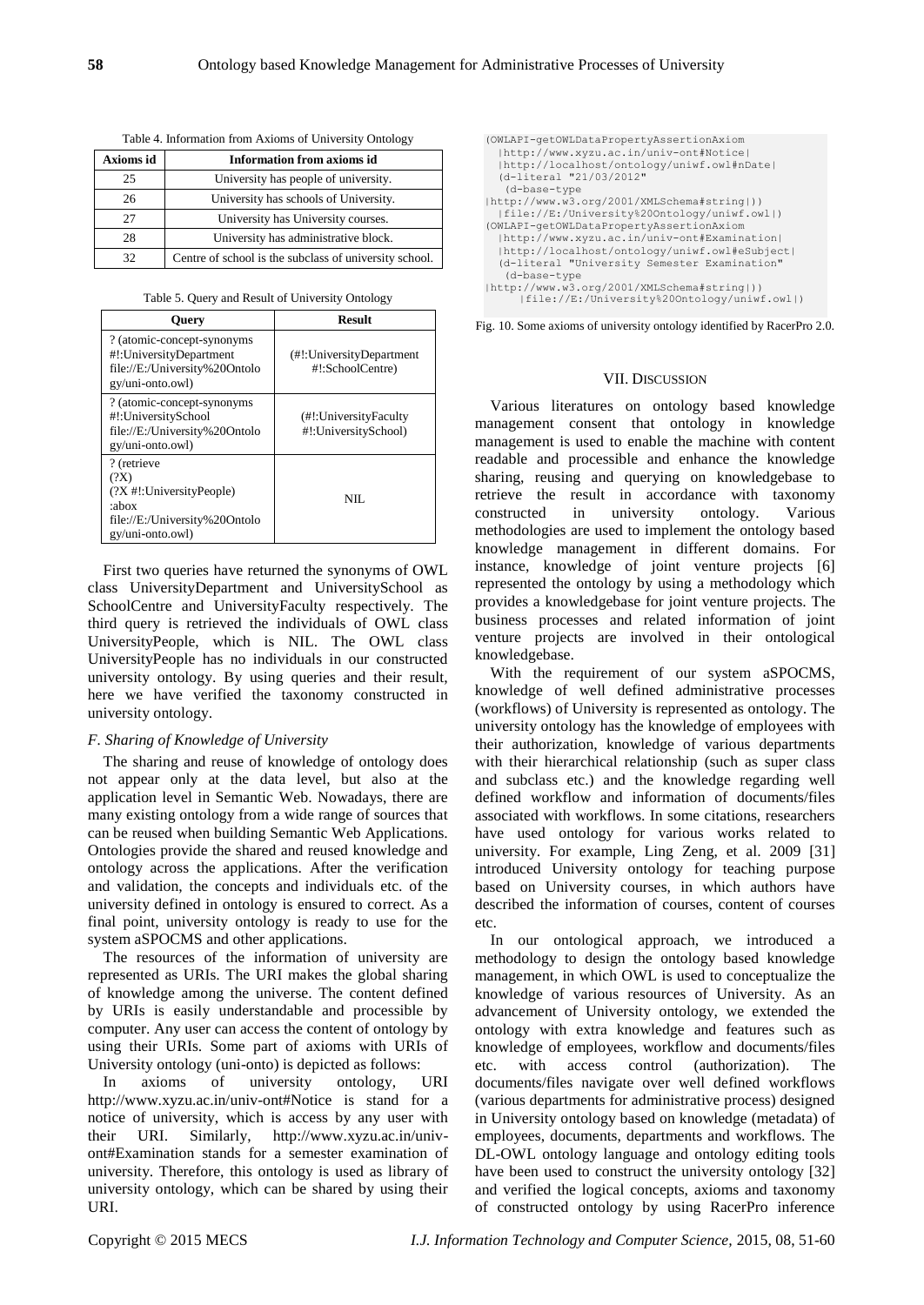| Axioms id | <b>Information from axioms id</b>                      |
|-----------|--------------------------------------------------------|
| 25        | University has people of university.                   |
| 26        | University has schools of University.                  |
| 27        | University has University courses.                     |
| 28        | University has administrative block.                   |
| 32        | Centre of school is the subclass of university school. |

Table 4. Information from Axioms of University Ontology

Table 5. Query and Result of University Ontology

| <b>Ouery</b>                                                                                                    | <b>Result</b>                                  |
|-----------------------------------------------------------------------------------------------------------------|------------------------------------------------|
| ? (atomic-concept-synonyms<br>#!:UniversityDepartment<br>file://E:/University%20Ontolo<br>gy/uni-onto.owl)      | (#!:UniversityDepartment<br>#!:SchoolCentre)   |
| ? (atomic-concept-synonyms)<br>#!:UniversitySchool<br>file://E:/University%20Ontolo<br>gy/uni-onto.owl)         | (#!:UniversityFaculty)<br>#!:UniversitySchool) |
| ? (retrieve<br>(?X)<br>$(?X$ #!:UniversityPeople)<br>:abox<br>file://E:/University%20Ontolo<br>gy/uni-onto.owl) | NIL.                                           |

First two queries have returned the synonyms of OWL class UniversityDepartment and UniversitySchool as SchoolCentre and UniversityFaculty respectively. The third query is retrieved the individuals of OWL class UniversityPeople, which is NIL. The OWL class UniversityPeople has no individuals in our constructed university ontology. By using queries and their result, here we have verified the taxonomy constructed in university ontology.

# *F. Sharing of Knowledge of University*

The sharing and reuse of knowledge of ontology does not appear only at the data level, but also at the application level in Semantic Web. Nowadays, there are many existing ontology from a wide range of sources that can be reused when building Semantic Web Applications. Ontologies provide the shared and reused knowledge and ontology across the applications. After the verification and validation, the concepts and individuals etc. of the university defined in ontology is ensured to correct. As a final point, university ontology is ready to use for the system aSPOCMS and other applications.

The resources of the information of university are represented as URIs. The URI makes the global sharing of knowledge among the universe. The content defined by URIs is easily understandable and processible by computer. Any user can access the content of ontology by using their URIs. Some part of axioms with URIs of University ontology (uni-onto) is depicted as follows:

In axioms of university ontology, URI http://www.xyzu.ac.in/univ-ont#Notice is stand for a notice of university, which is access by any user with their URI. Similarly, http://www.xyzu.ac.in/univont#Examination stands for a semester examination of university. Therefore, this ontology is used as library of university ontology, which can be shared by using their URI.

```
(OWLAPI-getOWLDataPropertyAssertionAxiom
   |http://www.xyzu.ac.in/univ-ont#Notice|
   |http://localhost/ontology/uniwf.owl#nDate|
   (d-literal "21/03/2012"
    (d-base-type 
|http://www.w3.org/2001/XMLSchema#string|))
   |file://E:/University%20Ontology/uniwf.owl|)
(OWLAPI-getOWLDataPropertyAssertionAxiom
   |http://www.xyzu.ac.in/univ-ont#Examination|
 |http://localhost/ontology/uniwf.owl#eSubject|
 (d-literal "University Semester Examination"
 (d-base-type 
|http://www.w3.org/2001/XMLSchema#string|))
       |file://E:/University%20Ontology/uniwf.owl|)
```
Fig. 10. Some axioms of university ontology identified by RacerPro 2.0.

## VII. DISCUSSION

Various literatures on ontology based knowledge management consent that ontology in knowledge management is used to enable the machine with content readable and processible and enhance the knowledge sharing, reusing and querying on knowledgebase to retrieve the result in accordance with taxonomy constructed in university ontology. Various methodologies are used to implement the ontology based knowledge management in different domains. For instance, knowledge of joint venture projects [6] represented the ontology by using a methodology which provides a knowledgebase for joint venture projects. The business processes and related information of joint venture projects are involved in their ontological knowledgebase.

With the requirement of our system aSPOCMS, knowledge of well defined administrative processes (workflows) of University is represented as ontology. The university ontology has the knowledge of employees with their authorization, knowledge of various departments with their hierarchical relationship (such as super class and subclass etc.) and the knowledge regarding well defined workflow and information of documents/files associated with workflows. In some citations, researchers have used ontology for various works related to university. For example, Ling Zeng, et al. 2009 [31] introduced University ontology for teaching purpose based on University courses, in which authors have described the information of courses, content of courses etc.

In our ontological approach, we introduced a methodology to design the ontology based knowledge management, in which OWL is used to conceptualize the knowledge of various resources of University. As an advancement of University ontology, we extended the ontology with extra knowledge and features such as knowledge of employees, workflow and documents/files etc. with access control (authorization). documents/files navigate over well defined workflows (various departments for administrative process) designed in University ontology based on knowledge (metadata) of employees, documents, departments and workflows. The DL-OWL ontology language and ontology editing tools have been used to construct the university ontology [32] and verified the logical concepts, axioms and taxonomy of constructed ontology by using RacerPro inference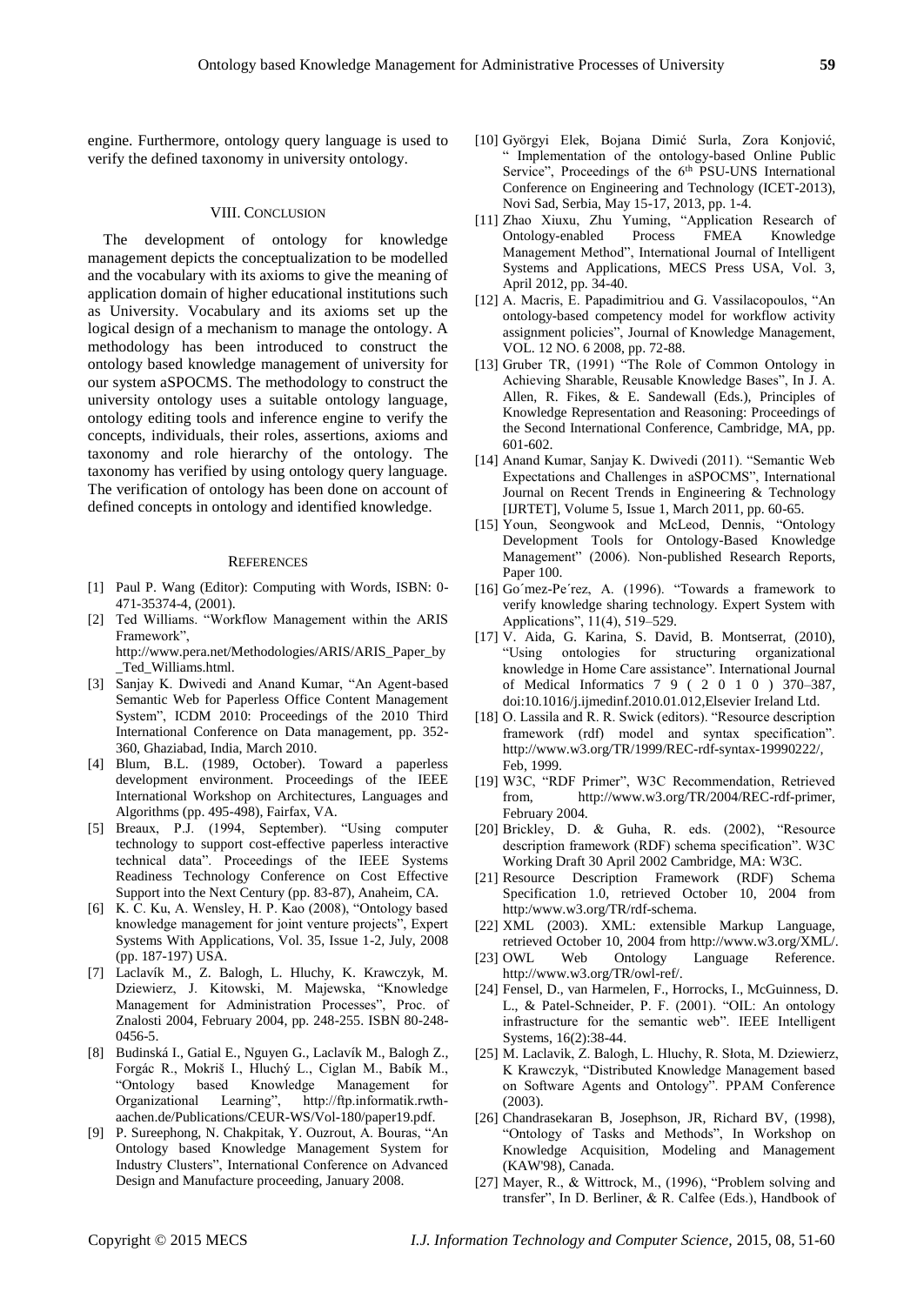engine. Furthermore, ontology query language is used to verify the defined taxonomy in university ontology.

#### VIII. CONCLUSION

The development of ontology for knowledge management depicts the conceptualization to be modelled and the vocabulary with its axioms to give the meaning of application domain of higher educational institutions such as University. Vocabulary and its axioms set up the logical design of a mechanism to manage the ontology. A methodology has been introduced to construct the ontology based knowledge management of university for our system aSPOCMS. The methodology to construct the university ontology uses a suitable ontology language, ontology editing tools and inference engine to verify the concepts, individuals, their roles, assertions, axioms and taxonomy and role hierarchy of the ontology. The taxonomy has verified by using ontology query language. The verification of ontology has been done on account of defined concepts in ontology and identified knowledge.

#### **REFERENCES**

- [1] Paul P. Wang (Editor): Computing with Words, ISBN: 0- 471-35374-4, (2001).
- [2] Ted Williams. "Workflow Management within the ARIS Framework",

http://www.pera.net/Methodologies/ARIS/ARIS\_Paper\_by \_Ted\_Williams.html.

- [3] Sanjay K. Dwivedi and Anand Kumar, "An Agent-based Semantic Web for Paperless Office Content Management System", ICDM 2010: Proceedings of the 2010 Third International Conference on Data management, pp. 352- 360, Ghaziabad, India, March 2010.
- [4] Blum, B.L. (1989, October). Toward a paperless development environment. Proceedings of the IEEE International Workshop on Architectures, Languages and Algorithms (pp. 495-498), Fairfax, VA.
- [5] Breaux, P.J. (1994, September). "Using computer technology to support cost-effective paperless interactive technical data". Proceedings of the IEEE Systems Readiness Technology Conference on Cost Effective Support into the Next Century (pp. 83-87), Anaheim, CA.
- [6] K. C. Ku, A. Wensley, H. P. Kao (2008), "Ontology based knowledge management for joint venture projects", Expert Systems With Applications, Vol. 35, Issue 1-2, July, 2008 (pp. 187-197) USA.
- [7] Laclav k M., Z. Balogh, L. Hluchy, K. Krawczyk, M. Dziewierz, J. Kitowski, M. Majewska, "Knowledge Management for Administration Processes", Proc. of Znalosti 2004, February 2004, pp. 248-255. ISBN 80-248- 0456-5.
- [8] Budinsk á I., Gatial E., Nguyen G., Laclav k M., Balogh Z., Forgác R., Mokriš I., Hluchý L., Ciglan M., Babík M., "Ontology based Knowledge Management for Organizational Learning", http://ftp.informatik.rwthaachen.de/Publications/CEUR-WS/Vol-180/paper19.pdf.
- [9] P. Sureephong, N. Chakpitak, Y. Ouzrout, A. Bouras, "An Ontology based Knowledge Management System for Industry Clusters", International Conference on Advanced Design and Manufacture proceeding, January 2008.
- [10] Györgyi Elek, Bojana Dimić Surla, Zora Konjović, Implementation of the ontology-based Online Public Service", Proceedings of the 6<sup>th</sup> PSU-UNS International Conference on Engineering and Technology (ICET-2013), Novi Sad, Serbia, May 15-17, 2013, pp. 1-4.
- [11] Zhao Xiuxu, Zhu Yuming, "Application Research of Ontology-enabled Process FMEA Knowledge Management Method", International Journal of Intelligent Systems and Applications, MECS Press USA, Vol. 3, April 2012, pp. 34-40.
- [12] A. Macris, E. Papadimitriou and G. Vassilacopoulos, "An ontology-based competency model for workflow activity assignment policies", Journal of Knowledge Management, VOL. 12 NO. 6 2008, pp. 72-88.
- [13] Gruber TR, (1991) "The Role of Common Ontology in Achieving Sharable, Reusable Knowledge Bases", In J. A. Allen, R. Fikes, & E. Sandewall (Eds.), Principles of Knowledge Representation and Reasoning: Proceedings of the Second International Conference, Cambridge, MA, pp. 601-602.
- [14] Anand Kumar, Sanjay K. Dwivedi (2011). "Semantic Web Expectations and Challenges in aSPOCMS", International Journal on Recent Trends in Engineering & Technology [IJRTET], Volume 5, Issue 1, March 2011, pp. 60-65.
- [15] Youn, Seongwook and McLeod, Dennis, "Ontology Development Tools for Ontology-Based Knowledge Management" (2006). Non-published Research Reports, Paper 100.
- [16] Go mez-Pe'rez, A. (1996). "Towards a framework to verify knowledge sharing technology. Expert System with Applications", 11(4), 519–529.
- [17] V. Aida, G. Karina, S. David, B. Montserrat, (2010), "Using ontologies for structuring organizational knowledge in Home Care assistance". International Journal of Medical Informatics 7 9 ( 2 0 1 0 ) 370–387, doi:10.1016/j.ijmedinf.2010.01.012,Elsevier Ireland Ltd.
- [18] O. Lassila and R. R. Swick (editors). "Resource description framework (rdf) model and syntax specification". http://www.w3.org/TR/1999/REC-rdf-syntax-19990222/, Feb, 1999.
- [19] W3C, "RDF Primer", W3C Recommendation, Retrieved from, http://www.w3.org/TR/2004/REC-rdf-primer, February 2004.
- [20] Brickley, D. & Guha, R. eds. (2002), "Resource description framework (RDF) schema specification". W3C Working Draft 30 April 2002 Cambridge, MA: W3C.
- [21] Resource Description Framework (RDF) Schema Specification 1.0, retrieved October 10, 2004 from http:/www.w3.org/TR/rdf-schema.
- [22] XML (2003). XML: extensible Markup Language, retrieved October 10, 2004 from http://www.w3.org/XML/.
- [23] OWL Web Ontology Language Reference. http://www.w3.org/TR/owl-ref/.
- [24] Fensel, D., van Harmelen, F., Horrocks, I., McGuinness, D. L., & Patel-Schneider, P. F. (2001). "OIL: An ontology infrastructure for the semantic web". IEEE Intelligent Systems, 16(2):38-44.
- [25] M. Laclavik, Z. Balogh, L. Hluchy, R. Słota, M. Dziewierz, K Krawczyk, "Distributed Knowledge Management based on Software Agents and Ontology". PPAM Conference (2003).
- [26] Chandrasekaran B, Josephson, JR, Richard BV, (1998), "Ontology of Tasks and Methods", In Workshop on Knowledge Acquisition, Modeling and Management (KAW'98), Canada.
- [27] Mayer, R., & Wittrock, M., (1996), "Problem solving and transfer", In D. Berliner, & R. Calfee (Eds.), Handbook of